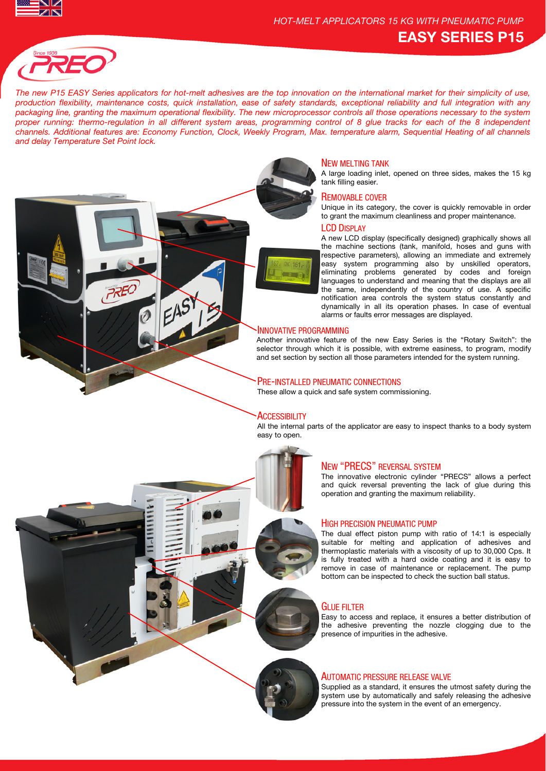



**PREC** 

*The new P15 EASY Series applicators for hot-melt adhesives are the top innovation on the international market for their simplicity of use, production flexibility, maintenance costs, quick installation, ease of safety standards, exceptional reliability and full integration with any packaging line, granting the maximum operational flexibility. The new microprocessor controls all those operations necessary to the system proper running: thermo-regulation in all different system areas, programming control of 8 glue tracks for each of the 8 independent channels. Additional features are: Economy Function, Clock, Weekly Program, Max. temperature alarm, Sequential Heating of all channels and delay Temperature Set Point lock.* 



## NEW MELTING TANK

A large loading inlet, opened on three sides, makes the 15 kg tank filling easier.

## REMOVABLE COVER

Unique in its category, the cover is quickly removable in order to grant the maximum cleanliness and proper maintenance.

## LCD DISPLAY

A new LCD display (specifically designed) graphically shows all the machine sections (tank, manifold, hoses and guns with respective parameters), allowing an immediate and extremely easy system programming also by unskilled operators, eliminating problems generated by codes and foreign languages to understand and meaning that the displays are all the same, independently of the country of use. A specific notification area controls the system status constantly and dynamically in all its operation phases. In case of eventual alarms or faults error messages are displayed.

### INNOVATIVE PROGRAMMING

Another innovative feature of the new Easy Series is the "Rotary Switch": the selector through which it is possible, with extreme easiness, to program, modify and set section by section all those parameters intended for the system running.

## PRE-INSTALLED PNEUMATIC CONNECTIONS

These allow a quick and safe system commissioning.

#### **ACCESSIBILITY**

All the internal parts of the applicator are easy to inspect thanks to a body system easy to open.



## NEW "PRECS" REVERSAL SYSTEM

The innovative electronic cylinder "PRECS" allows a perfect and quick reversal preventing the lack of glue during this operation and granting the maximum reliability.

#### HIGH PRECISION PNEUMATIC PUMP

The dual effect piston pump with ratio of 14:1 is especially suitable for melting and application of adhesives and thermoplastic materials with a viscosity of up to 30,000 Cps. It is fully treated with a hard oxide coating and it is easy to remove in case of maintenance or replacement. The pump bottom can be inspected to check the suction ball status.

## GLUE FILTER

Easy to access and replace, it ensures a better distribution of the adhesive preventing the nozzle clogging due to the presence of impurities in the adhesive.

## AUTOMATIC PRESSURE RELEASE VALVE

Supplied as a standard, it ensures the utmost safety during the system use by automatically and safely releasing the adhesive pressure into the system in the event of an emergency.